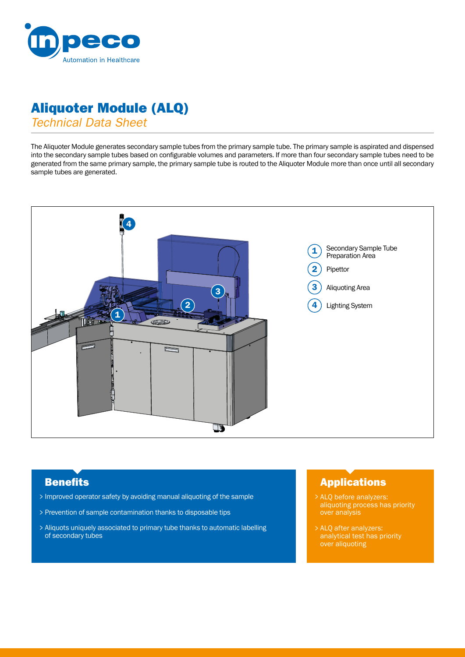

# Aliquoter Module (ALQ)

*Technical Data Sheet*

The Aliquoter Module generates secondary sample tubes from the primary sample tube. The primary sample is aspirated and dispensed into the secondary sample tubes based on configurable volumes and parameters. If more than four secondary sample tubes need to be generated from the same primary sample, the primary sample tube is routed to the Aliquoter Module more than once until all secondary sample tubes are generated.



- Improved operator safety by avoiding manual aliquoting of the sample >
- Prevention of sample contamination thanks to disposable tips >
- Aliquots uniquely associated to primary tube thanks to automatic labelling > of secondary tubes

## **Benefits Applications**

- ALQ before analyzers: > aliquoting process has priority over analysis
- ALQ after analyzers: > analytical test has priority over aliquoting